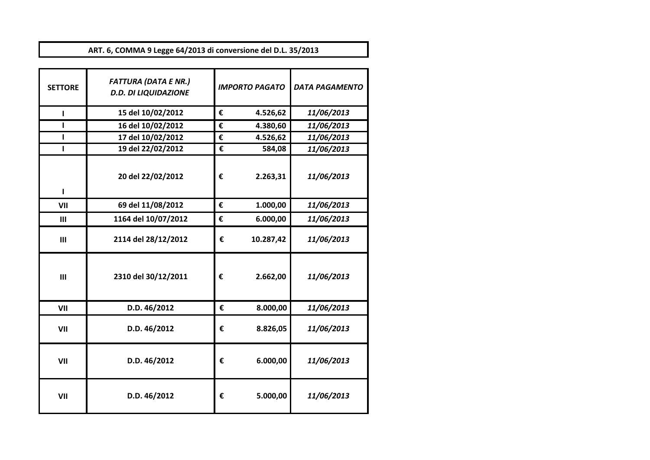**ART. 6, COMMA 9 Legge 64/2013 di conversione del D.L. 35/2013**

| <b>SETTORE</b> | <b>FATTURA (DATA E NR.)</b><br><b>D.D. DI LIQUIDAZIONE</b> |   | <b>IMPORTO PAGATO</b> | <b>DATA PAGAMENTO</b> |
|----------------|------------------------------------------------------------|---|-----------------------|-----------------------|
| ı              | 15 del 10/02/2012                                          | € | 4.526,62              | 11/06/2013            |
| п              | 16 del 10/02/2012                                          | € | 4.380,60              | 11/06/2013            |
|                | 17 del 10/02/2012                                          | € | 4.526,62              | 11/06/2013            |
| ı              | 19 del 22/02/2012                                          | € | 584,08                | 11/06/2013            |
| п              | 20 del 22/02/2012                                          | € | 2.263,31              | 11/06/2013            |
| VII            | 69 del 11/08/2012                                          | € | 1.000,00              | 11/06/2013            |
| III            | 1164 del 10/07/2012                                        | € | 6.000,00              | 11/06/2013            |
| III            | 2114 del 28/12/2012                                        | € | 10.287,42             | 11/06/2013            |
| III            | 2310 del 30/12/2011                                        | € | 2.662,00              | 11/06/2013            |
| VII            | D.D. 46/2012                                               | € | 8.000,00              | 11/06/2013            |
| VII            | D.D. 46/2012                                               | € | 8.826,05              | 11/06/2013            |
| VII            | D.D. 46/2012                                               | € | 6.000,00              | 11/06/2013            |
| VII            | D.D. 46/2012                                               | € | 5.000,00              | 11/06/2013            |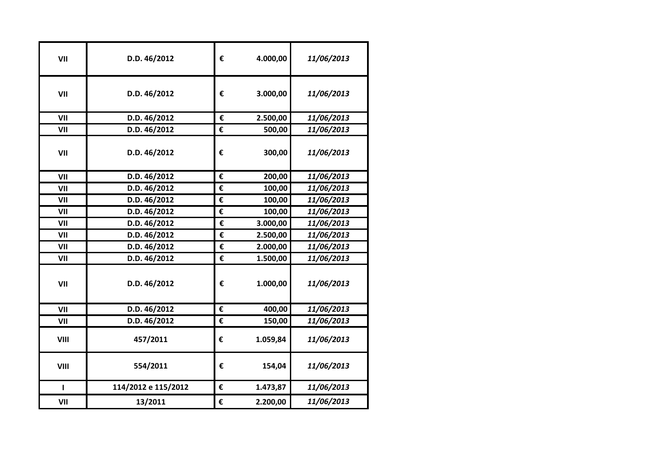| VII          | D.D. 46/2012        | € | 4.000,00 | 11/06/2013 |
|--------------|---------------------|---|----------|------------|
| VII          | D.D. 46/2012        | € | 3.000,00 | 11/06/2013 |
| VII          | D.D. 46/2012        | € | 2.500,00 | 11/06/2013 |
| VII          | D.D. 46/2012        | € | 500,00   | 11/06/2013 |
| VII          | D.D. 46/2012        | € | 300,00   | 11/06/2013 |
| VII          | D.D. 46/2012        | € | 200,00   | 11/06/2013 |
| VII          | D.D. 46/2012        | € | 100,00   | 11/06/2013 |
| VII          | D.D. 46/2012        | € | 100,00   | 11/06/2013 |
| VII          | D.D. 46/2012        | € | 100,00   | 11/06/2013 |
| VII          | D.D. 46/2012        | € | 3.000,00 | 11/06/2013 |
| VII          | D.D. 46/2012        | € | 2.500,00 | 11/06/2013 |
| VII          | D.D. 46/2012        | € | 2.000,00 | 11/06/2013 |
| VII          | D.D. 46/2012        | € | 1.500,00 | 11/06/2013 |
| VII          | D.D. 46/2012        | € | 1.000,00 | 11/06/2013 |
| VII          | D.D. 46/2012        | € | 400,00   | 11/06/2013 |
| VII          | D.D. 46/2012        | € | 150,00   | 11/06/2013 |
| VIII         | 457/2011            | € | 1.059,84 | 11/06/2013 |
| VIII         | 554/2011            | € | 154,04   | 11/06/2013 |
| $\mathbf{I}$ | 114/2012 e 115/2012 | € | 1.473,87 | 11/06/2013 |
| VII          | 13/2011             | € | 2.200,00 | 11/06/2013 |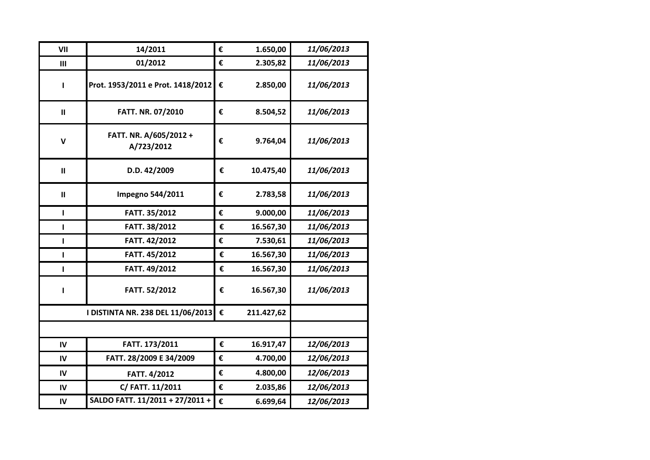| VII           | 14/2011                              | € | 1.650,00   | 11/06/2013 |
|---------------|--------------------------------------|---|------------|------------|
| III           | 01/2012                              | € | 2.305,82   | 11/06/2013 |
| $\mathbf{I}$  | Prot. 1953/2011 e Prot. 1418/2012    | € | 2.850,00   | 11/06/2013 |
| $\mathbf{II}$ | FATT. NR. 07/2010                    | € | 8.504,52   | 11/06/2013 |
| $\mathbf v$   | FATT. NR. A/605/2012 +<br>A/723/2012 | € | 9.764,04   | 11/06/2013 |
| $\mathbf{H}$  | D.D. 42/2009                         | € | 10.475,40  | 11/06/2013 |
| Ш             | <b>Impegno 544/2011</b>              | € | 2.783,58   | 11/06/2013 |
| L             | FATT. 35/2012                        | € | 9.000,00   | 11/06/2013 |
| L             | FATT. 38/2012                        | € | 16.567,30  | 11/06/2013 |
| п             | FATT. 42/2012                        | € | 7.530,61   | 11/06/2013 |
| L             | FATT. 45/2012                        | € | 16.567,30  | 11/06/2013 |
| L             | FATT. 49/2012                        | € | 16.567,30  | 11/06/2013 |
| L             | FATT. 52/2012                        | € | 16.567,30  | 11/06/2013 |
|               | I DISTINTA NR. 238 DEL 11/06/2013    | € | 211.427,62 |            |
|               |                                      |   |            |            |
| IV            | FATT. 173/2011                       | € | 16.917,47  | 12/06/2013 |
| IV            | FATT. 28/2009 E 34/2009              | € | 4.700,00   | 12/06/2013 |
| IV            | FATT. 4/2012                         | € | 4.800,00   | 12/06/2013 |
| IV            | C/ FATT. 11/2011                     | € | 2.035,86   | 12/06/2013 |
| IV            | SALDO FATT. 11/2011 + 27/2011 +      | € | 6.699,64   | 12/06/2013 |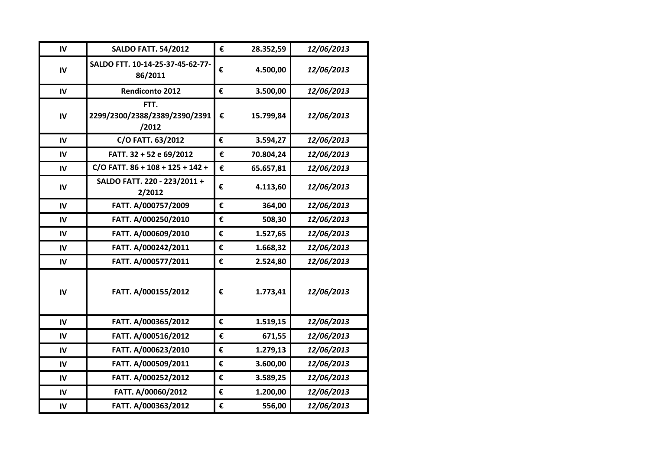| IV            | <b>SALDO FATT. 54/2012</b>                     | € | 28.352,59 | 12/06/2013 |
|---------------|------------------------------------------------|---|-----------|------------|
| IV            | SALDO FTT. 10-14-25-37-45-62-77-<br>86/2011    | € | 4.500,00  | 12/06/2013 |
| IV            | <b>Rendiconto 2012</b>                         | € | 3.500,00  | 12/06/2013 |
| IV            | FTT.<br>2299/2300/2388/2389/2390/2391<br>/2012 | € | 15.799,84 | 12/06/2013 |
| IV            | C/O FATT. 63/2012                              | € | 3.594,27  | 12/06/2013 |
| IV            | FATT. 32 + 52 e 69/2012                        | € | 70.804,24 | 12/06/2013 |
| IV            | $C/O$ FATT. $86 + 108 + 125 + 142 +$           | € | 65.657,81 | 12/06/2013 |
| $\mathsf{IV}$ | SALDO FATT. 220 - 223/2011 +<br>2/2012         | € | 4.113,60  | 12/06/2013 |
| IV            | FATT. A/000757/2009                            | € | 364,00    | 12/06/2013 |
| IV            | FATT. A/000250/2010                            | € | 508,30    | 12/06/2013 |
| IV            | FATT. A/000609/2010                            | € | 1.527,65  | 12/06/2013 |
| IV            | FATT. A/000242/2011                            | € | 1.668,32  | 12/06/2013 |
| $\mathsf{IV}$ | FATT. A/000577/2011                            | € | 2.524,80  | 12/06/2013 |
| IV            | FATT. A/000155/2012                            | € | 1.773,41  | 12/06/2013 |
| IV            | FATT. A/000365/2012                            | € | 1.519,15  | 12/06/2013 |
| IV            | FATT. A/000516/2012                            | € | 671,55    | 12/06/2013 |
| IV            | FATT. A/000623/2010                            | € | 1.279,13  | 12/06/2013 |
| IV            | FATT. A/000509/2011                            | € | 3.600,00  | 12/06/2013 |
| IV            | FATT. A/000252/2012                            | € | 3.589,25  | 12/06/2013 |
| IV            | FATT. A/00060/2012                             | € | 1.200,00  | 12/06/2013 |
| IV            | FATT. A/000363/2012                            | € | 556,00    | 12/06/2013 |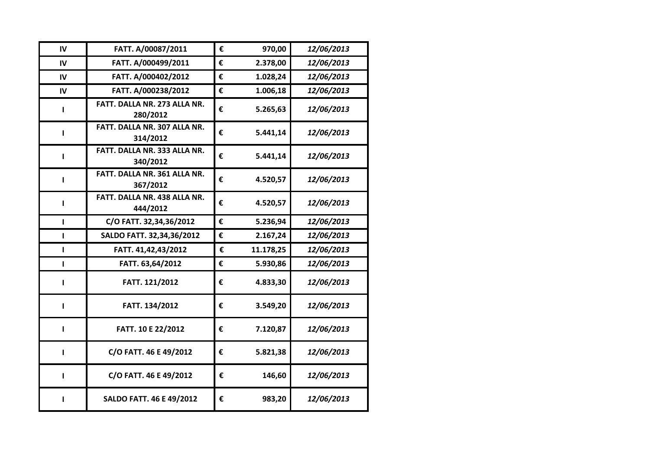| IV | FATT. A/00087/2011                       | € | 970,00    | 12/06/2013 |
|----|------------------------------------------|---|-----------|------------|
| IV | FATT. A/000499/2011                      | € | 2.378,00  | 12/06/2013 |
| IV | FATT. A/000402/2012                      | € | 1.028,24  | 12/06/2013 |
| IV | FATT. A/000238/2012                      | € | 1.006,18  | 12/06/2013 |
| L  | FATT. DALLA NR. 273 ALLA NR.<br>280/2012 | € | 5.265,63  | 12/06/2013 |
| L  | FATT. DALLA NR. 307 ALLA NR.<br>314/2012 | € | 5.441,14  | 12/06/2013 |
| п  | FATT. DALLA NR. 333 ALLA NR.<br>340/2012 | € | 5.441,14  | 12/06/2013 |
| Ш  | FATT. DALLA NR. 361 ALLA NR.<br>367/2012 | € | 4.520,57  | 12/06/2013 |
| ı  | FATT. DALLA NR. 438 ALLA NR.<br>444/2012 | € | 4.520,57  | 12/06/2013 |
| L  | C/O FATT. 32,34,36/2012                  | € | 5.236,94  | 12/06/2013 |
| L  | SALDO FATT. 32,34,36/2012                | € | 2.167,24  | 12/06/2013 |
| L  | FATT. 41,42,43/2012                      | € | 11.178,25 | 12/06/2013 |
| L  | FATT. 63,64/2012                         | € | 5.930,86  | 12/06/2013 |
| L  | FATT. 121/2012                           | € | 4.833,30  | 12/06/2013 |
| L  | FATT. 134/2012                           | € | 3.549,20  | 12/06/2013 |
| ı  | FATT. 10 E 22/2012                       | € | 7.120,87  | 12/06/2013 |
| г  | C/O FATT. 46 E 49/2012                   | € | 5.821,38  | 12/06/2013 |
| ı  | C/O FATT. 46 E 49/2012                   | € | 146,60    | 12/06/2013 |
| ı  | <b>SALDO FATT. 46 E 49/2012</b>          | € | 983,20    | 12/06/2013 |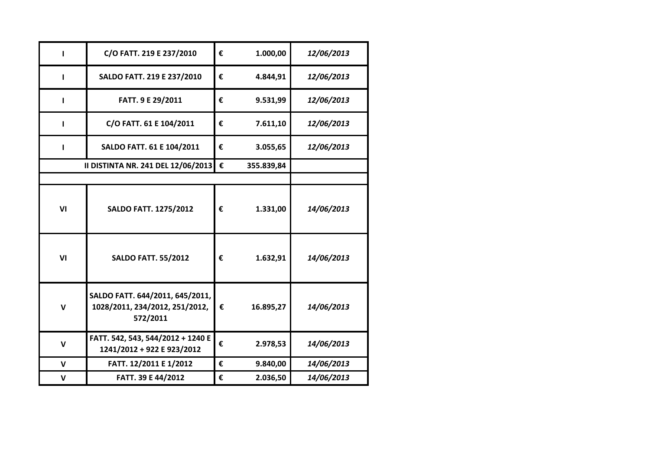| ı            | C/O FATT. 219 E 237/2010                                                      | € | 1.000,00   | 12/06/2013 |
|--------------|-------------------------------------------------------------------------------|---|------------|------------|
| п            | SALDO FATT. 219 E 237/2010                                                    | € | 4.844,91   | 12/06/2013 |
| п            | FATT. 9 E 29/2011                                                             | € | 9.531,99   | 12/06/2013 |
| п            | C/O FATT. 61 E 104/2011                                                       | € | 7.611,10   | 12/06/2013 |
| $\mathbf{I}$ | SALDO FATT. 61 E 104/2011                                                     | € | 3.055,65   | 12/06/2013 |
|              | II DISTINTA NR. 241 DEL 12/06/2013 €                                          |   | 355.839,84 |            |
|              |                                                                               |   |            |            |
| VI           | <b>SALDO FATT. 1275/2012</b>                                                  | € | 1.331,00   | 14/06/2013 |
| VI           | <b>SALDO FATT. 55/2012</b>                                                    | € | 1.632,91   | 14/06/2013 |
| $\mathbf v$  | SALDO FATT. 644/2011, 645/2011,<br>1028/2011, 234/2012, 251/2012,<br>572/2011 | € | 16.895,27  | 14/06/2013 |
| $\mathbf v$  | FATT. 542, 543, 544/2012 + 1240 E<br>1241/2012 + 922 E 923/2012               | € | 2.978,53   | 14/06/2013 |
| $\mathsf{V}$ | FATT. 12/2011 E 1/2012                                                        | € | 9.840,00   | 14/06/2013 |
| $\mathsf{V}$ | FATT. 39 E 44/2012                                                            | € | 2.036,50   | 14/06/2013 |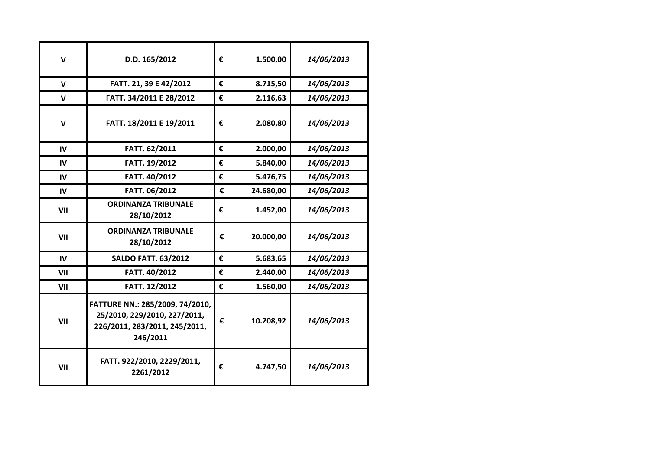| $\mathbf v$  | D.D. 165/2012                                                                                                | € | 1.500,00  | 14/06/2013 |
|--------------|--------------------------------------------------------------------------------------------------------------|---|-----------|------------|
| $\mathbf v$  | FATT. 21, 39 E 42/2012                                                                                       | € | 8.715,50  | 14/06/2013 |
| $\mathsf{V}$ | FATT. 34/2011 E 28/2012                                                                                      | € | 2.116,63  | 14/06/2013 |
| $\mathbf v$  | FATT. 18/2011 E 19/2011                                                                                      | € | 2.080,80  | 14/06/2013 |
| IV           | FATT. 62/2011                                                                                                | € | 2.000,00  | 14/06/2013 |
| IV           | FATT. 19/2012                                                                                                | € | 5.840,00  | 14/06/2013 |
| IV           | FATT. 40/2012                                                                                                | € | 5.476,75  | 14/06/2013 |
| IV           | FATT. 06/2012                                                                                                | € | 24.680,00 | 14/06/2013 |
| VII          | <b>ORDINANZA TRIBUNALE</b><br>28/10/2012                                                                     | € | 1.452,00  | 14/06/2013 |
| VII          | <b>ORDINANZA TRIBUNALE</b><br>28/10/2012                                                                     | € | 20.000,00 | 14/06/2013 |
| IV           | <b>SALDO FATT. 63/2012</b>                                                                                   | € | 5.683,65  | 14/06/2013 |
| VII          | FATT. 40/2012                                                                                                | € | 2.440,00  | 14/06/2013 |
| VII          | FATT. 12/2012                                                                                                | € | 1.560,00  | 14/06/2013 |
| VII          | FATTURE NN.: 285/2009, 74/2010,<br>25/2010, 229/2010, 227/2011,<br>226/2011, 283/2011, 245/2011,<br>246/2011 | € | 10.208,92 | 14/06/2013 |
| VII          | FATT. 922/2010, 2229/2011,<br>2261/2012                                                                      | € | 4.747,50  | 14/06/2013 |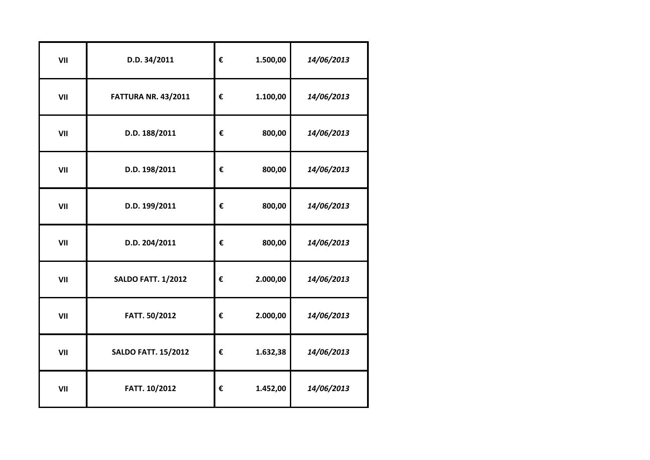| VII | D.D. 34/2011               | € | 1.500,00 | 14/06/2013 |
|-----|----------------------------|---|----------|------------|
| VII | <b>FATTURA NR. 43/2011</b> | € | 1.100,00 | 14/06/2013 |
| VII | D.D. 188/2011              | € | 800,00   | 14/06/2013 |
| VII | D.D. 198/2011              | € | 800,00   | 14/06/2013 |
| VII | D.D. 199/2011              | € | 800,00   | 14/06/2013 |
| VII | D.D. 204/2011              | € | 800,00   | 14/06/2013 |
| VII | <b>SALDO FATT. 1/2012</b>  | € | 2.000,00 | 14/06/2013 |
| VII | FATT. 50/2012              | € | 2.000,00 | 14/06/2013 |
| VII | <b>SALDO FATT. 15/2012</b> | € | 1.632,38 | 14/06/2013 |
| VII | FATT. 10/2012              | € | 1.452,00 | 14/06/2013 |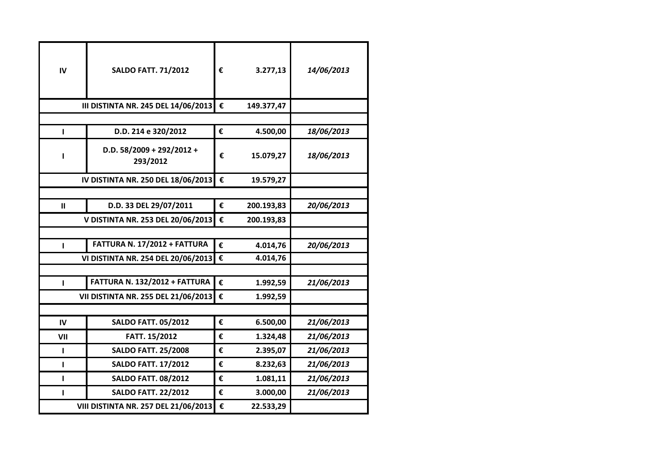| IV  | <b>SALDO FATT. 71/2012</b>              | € | 3.277,13   | 14/06/2013 |
|-----|-----------------------------------------|---|------------|------------|
|     | III DISTINTA NR. 245 DEL 14/06/2013     | € | 149.377,47 |            |
|     |                                         |   |            |            |
| T   | D.D. 214 e 320/2012                     | € | 4.500,00   | 18/06/2013 |
|     | D.D. $58/2009 + 292/2012 +$<br>293/2012 | € | 15.079,27  | 18/06/2013 |
|     | IV DISTINTA NR. 250 DEL 18/06/2013      | € | 19.579,27  |            |
|     |                                         |   |            |            |
| Ш   | D.D. 33 DEL 29/07/2011                  | € | 200.193,83 | 20/06/2013 |
|     | V DISTINTA NR. 253 DEL 20/06/2013       | € | 200.193,83 |            |
|     |                                         |   |            |            |
| п   | FATTURA N. 17/2012 + FATTURA            | € | 4.014,76   | 20/06/2013 |
|     | VI DISTINTA NR. 254 DEL 20/06/2013      | € | 4.014,76   |            |
|     |                                         |   |            |            |
| T   | FATTURA N. 132/2012 + FATTURA           | € | 1.992,59   | 21/06/2013 |
|     | VII DISTINTA NR. 255 DEL 21/06/2013     | € | 1.992,59   |            |
|     |                                         |   |            |            |
| IV  | <b>SALDO FATT. 05/2012</b>              | € | 6.500,00   | 21/06/2013 |
| VII | FATT. 15/2012                           | € | 1.324,48   | 21/06/2013 |
| L   | <b>SALDO FATT. 25/2008</b>              | € | 2.395,07   | 21/06/2013 |
| т   | <b>SALDO FATT. 17/2012</b>              | € | 8.232,63   | 21/06/2013 |
| т   | <b>SALDO FATT. 08/2012</b>              | € | 1.081,11   | 21/06/2013 |
| т   | <b>SALDO FATT. 22/2012</b>              | € | 3.000,00   | 21/06/2013 |
|     | VIII DISTINTA NR. 257 DEL 21/06/2013    | € | 22.533,29  |            |